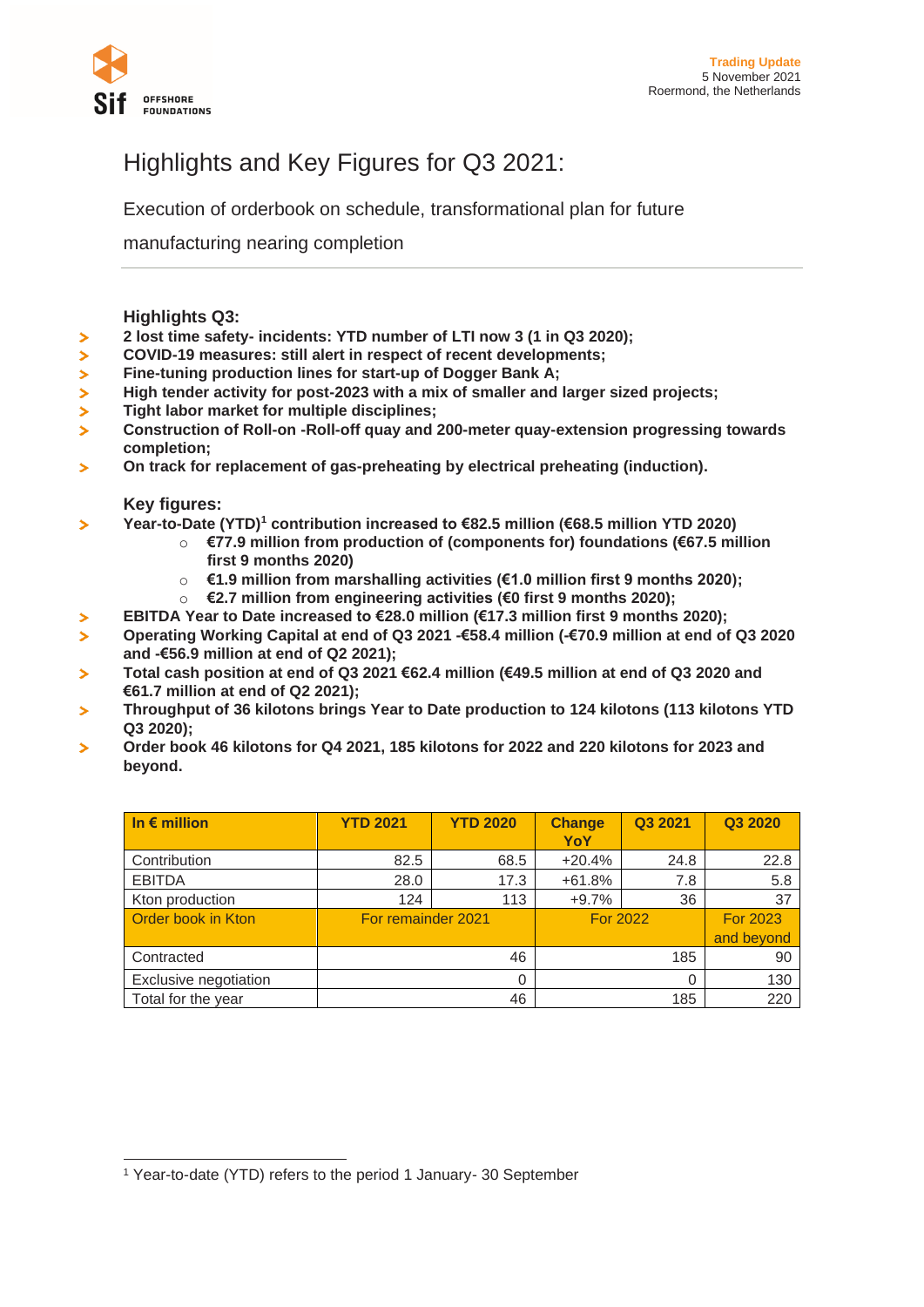

# Highlights and Key Figures for Q3 2021:

Execution of orderbook on schedule, transformational plan for future

manufacturing nearing completion

## **Highlights Q3:**

- **2 lost time safety- incidents: YTD number of LTI now 3 (1 in Q3 2020);**   $\geq$
- $\mathbf{z}$ **COVID-19 measures: still alert in respect of recent developments;**
- $\mathbf{z}$ **Fine-tuning production lines for start-up of Dogger Bank A;**
- × **High tender activity for post-2023 with a mix of smaller and larger sized projects;**
- $\mathbf{z}$ **Tight labor market for multiple disciplines;**
- **Construction of Roll-on -Roll-off quay and 200-meter quay-extension progressing towards**  $\blacktriangleright$ **completion;**
- **On track for replacement of gas-preheating by electrical preheating (induction).**  $\overline{\phantom{a}}$

#### **Key figures:**

 $\blacktriangleright$ 

- **Year-to-Date (YTD)<sup>1</sup> contribution increased to €82.5 million (€68.5 million YTD 2020)**  $\overline{\phantom{0}}$ 
	- o **€77.9 million from production of (components for) foundations (€67.5 million first 9 months 2020)**
	- o **€1.9 million from marshalling activities (€1.0 million first 9 months 2020);**
	- o **€2.7 million from engineering activities (€0 first 9 months 2020);**
	- **EBITDA Year to Date increased to €28.0 million (€17.3 million first 9 months 2020);**
- **Operating Working Capital at end of Q3 2021 -€58.4 million (-€70.9 million at end of Q3 2020 and -€56.9 million at end of Q2 2021);**
- **Total cash position at end of Q3 2021 €62.4 million (€49.5 million at end of Q3 2020 and €61.7 million at end of Q2 2021);**
- **Throughput of 36 kilotons brings Year to Date production to 124 kilotons (113 kilotons YTD Q3 2020);**
- **Order book 46 kilotons for Q4 2021, 185 kilotons for 2022 and 220 kilotons for 2023 and**   $\overline{\phantom{0}}$ **beyond.**

| In $\epsilon$ million | <b>YTD 2021</b>    | <b>YTD 2020</b> | <b>Change</b><br>YoY | Q3 2021 | Q3 2020                       |
|-----------------------|--------------------|-----------------|----------------------|---------|-------------------------------|
| Contribution          | 82.5               | 68.5            | $+20.4%$             | 24.8    | 22.8                          |
| <b>EBITDA</b>         | 28.0               | 17.3            | $+61.8%$             | 7.8     | 5.8                           |
| Kton production       | 124                | 113             | $+9.7%$              | 36      | 37                            |
| Order book in Kton    | For remainder 2021 |                 | <b>For 2022</b>      |         | <b>For 2023</b><br>and beyond |
| Contracted            |                    | 46              |                      | 185     | 90                            |
| Exclusive negotiation | 0                  |                 | 0                    |         | 130                           |
| Total for the year    |                    | 46              |                      | 185     | 220                           |

<sup>1</sup> Year-to-date (YTD) refers to the period 1 January- 30 September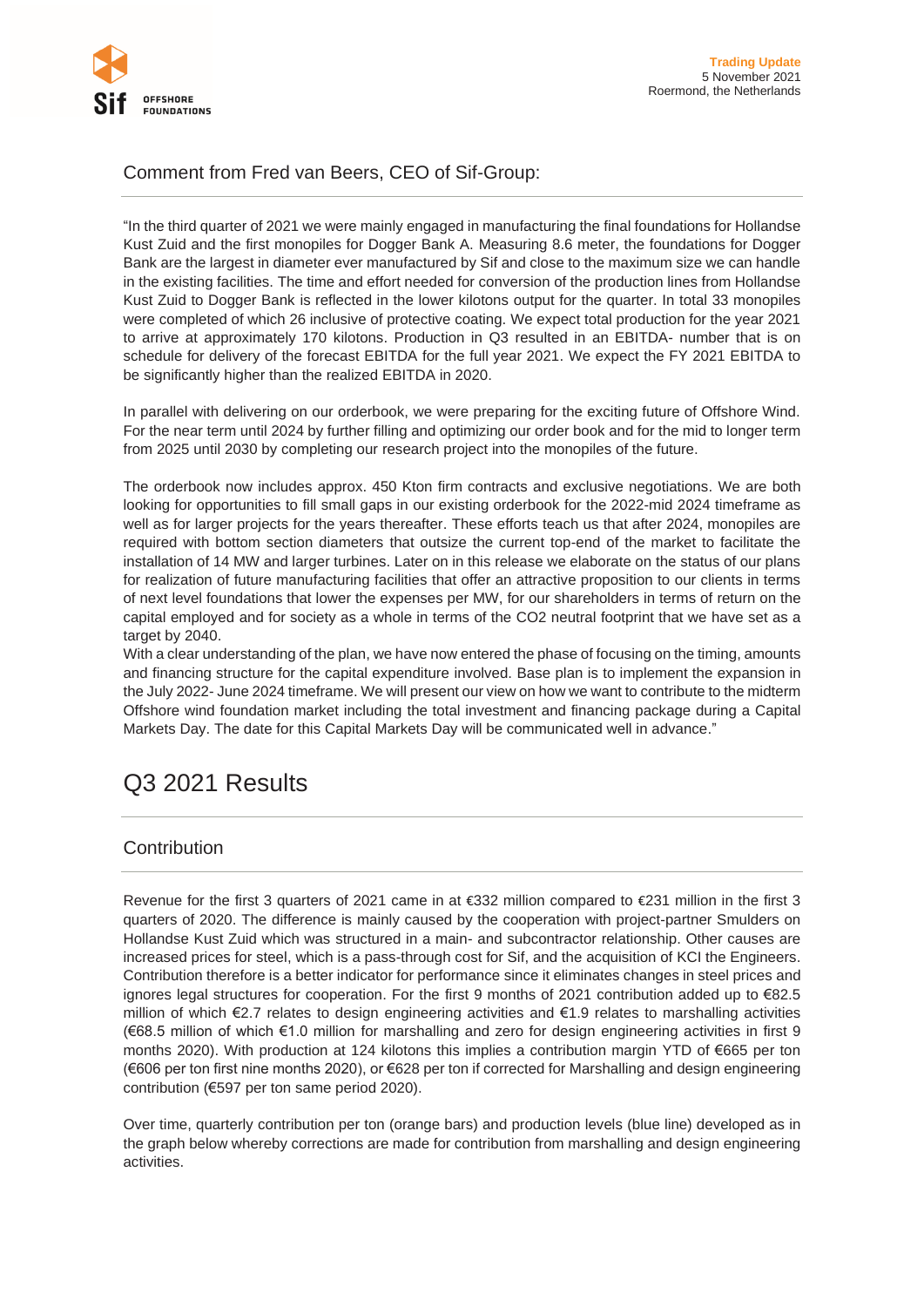

# Comment from Fred van Beers, CEO of Sif-Group:

"In the third quarter of 2021 we were mainly engaged in manufacturing the final foundations for Hollandse Kust Zuid and the first monopiles for Dogger Bank A. Measuring 8.6 meter, the foundations for Dogger Bank are the largest in diameter ever manufactured by Sif and close to the maximum size we can handle in the existing facilities. The time and effort needed for conversion of the production lines from Hollandse Kust Zuid to Dogger Bank is reflected in the lower kilotons output for the quarter. In total 33 monopiles were completed of which 26 inclusive of protective coating. We expect total production for the year 2021 to arrive at approximately 170 kilotons. Production in Q3 resulted in an EBITDA- number that is on schedule for delivery of the forecast EBITDA for the full year 2021. We expect the FY 2021 EBITDA to be significantly higher than the realized EBITDA in 2020.

In parallel with delivering on our orderbook, we were preparing for the exciting future of Offshore Wind. For the near term until 2024 by further filling and optimizing our order book and for the mid to longer term from 2025 until 2030 by completing our research project into the monopiles of the future.

The orderbook now includes approx. 450 Kton firm contracts and exclusive negotiations. We are both looking for opportunities to fill small gaps in our existing orderbook for the 2022-mid 2024 timeframe as well as for larger projects for the years thereafter. These efforts teach us that after 2024, monopiles are required with bottom section diameters that outsize the current top-end of the market to facilitate the installation of 14 MW and larger turbines. Later on in this release we elaborate on the status of our plans for realization of future manufacturing facilities that offer an attractive proposition to our clients in terms of next level foundations that lower the expenses per MW, for our shareholders in terms of return on the capital employed and for society as a whole in terms of the CO2 neutral footprint that we have set as a target by 2040.

With a clear understanding of the plan, we have now entered the phase of focusing on the timing, amounts and financing structure for the capital expenditure involved. Base plan is to implement the expansion in the July 2022- June 2024 timeframe. We will present our view on how we want to contribute to the midterm Offshore wind foundation market including the total investment and financing package during a Capital Markets Day. The date for this Capital Markets Day will be communicated well in advance."

# Q3 2021 Results

# **Contribution**

Revenue for the first 3 quarters of 2021 came in at €332 million compared to €231 million in the first 3 quarters of 2020. The difference is mainly caused by the cooperation with project-partner Smulders on Hollandse Kust Zuid which was structured in a main- and subcontractor relationship. Other causes are increased prices for steel, which is a pass-through cost for Sif, and the acquisition of KCI the Engineers. Contribution therefore is a better indicator for performance since it eliminates changes in steel prices and ignores legal structures for cooperation. For the first 9 months of 2021 contribution added up to €82.5 million of which €2.7 relates to design engineering activities and €1.9 relates to marshalling activities (€68.5 million of which €1.0 million for marshalling and zero for design engineering activities in first 9 months 2020). With production at 124 kilotons this implies a contribution margin YTD of €665 per ton (€606 per ton first nine months 2020), or €628 per ton if corrected for Marshalling and design engineering contribution (€597 per ton same period 2020).

Over time, quarterly contribution per ton (orange bars) and production levels (blue line) developed as in the graph below whereby corrections are made for contribution from marshalling and design engineering activities.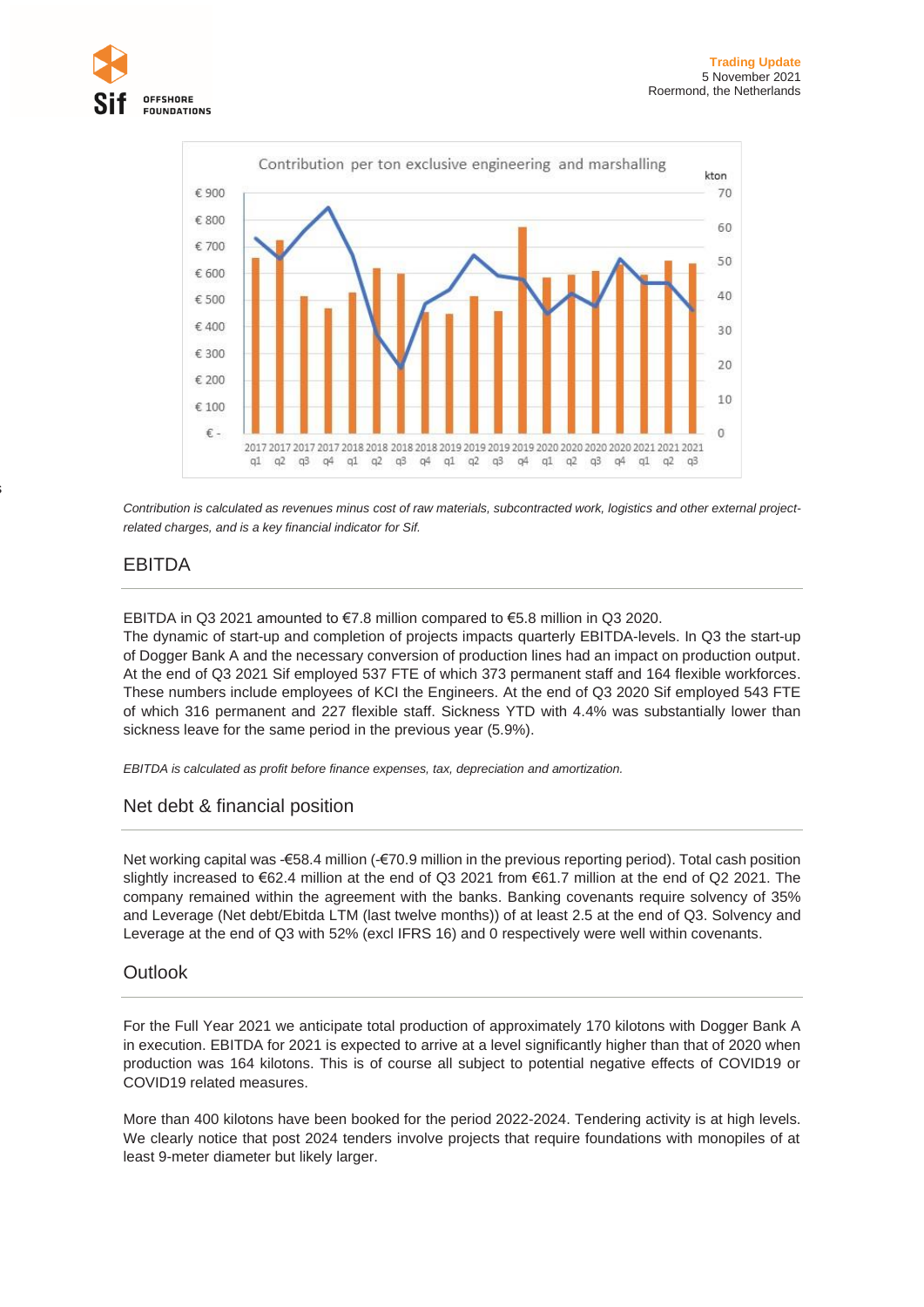



*Contribution is calculated as revenues minus cost of raw materials, subcontracted work, logistics and other external projectrelated charges, and is a key financial indicator for Sif.*

## EBITDA

is

EBITDA in Q3 2021 amounted to €7.8 million compared to €5.8 million in Q3 2020.

The dynamic of start-up and completion of projects impacts quarterly EBITDA-levels. In Q3 the start-up of Dogger Bank A and the necessary conversion of production lines had an impact on production output. At the end of Q3 2021 Sif employed 537 FTE of which 373 permanent staff and 164 flexible workforces. These numbers include employees of KCI the Engineers. At the end of Q3 2020 Sif employed 543 FTE of which 316 permanent and 227 flexible staff. Sickness YTD with 4.4% was substantially lower than sickness leave for the same period in the previous year (5.9%).

*EBITDA is calculated as profit before finance expenses, tax, depreciation and amortization.*

## Net debt & financial position

Net working capital was -€58.4 million (-€70.9 million in the previous reporting period). Total cash position slightly increased to €62.4 million at the end of Q3 2021 from €61.7 million at the end of Q2 2021. The company remained within the agreement with the banks. Banking covenants require solvency of 35% and Leverage (Net debt/Ebitda LTM (last twelve months)) of at least 2.5 at the end of Q3. Solvency and Leverage at the end of Q3 with 52% (excl IFRS 16) and 0 respectively were well within covenants.

## **Outlook**

For the Full Year 2021 we anticipate total production of approximately 170 kilotons with Dogger Bank A in execution. EBITDA for 2021 is expected to arrive at a level significantly higher than that of 2020 when production was 164 kilotons. This is of course all subject to potential negative effects of COVID19 or COVID19 related measures.

More than 400 kilotons have been booked for the period 2022-2024. Tendering activity is at high levels. We clearly notice that post 2024 tenders involve projects that require foundations with monopiles of at least 9-meter diameter but likely larger.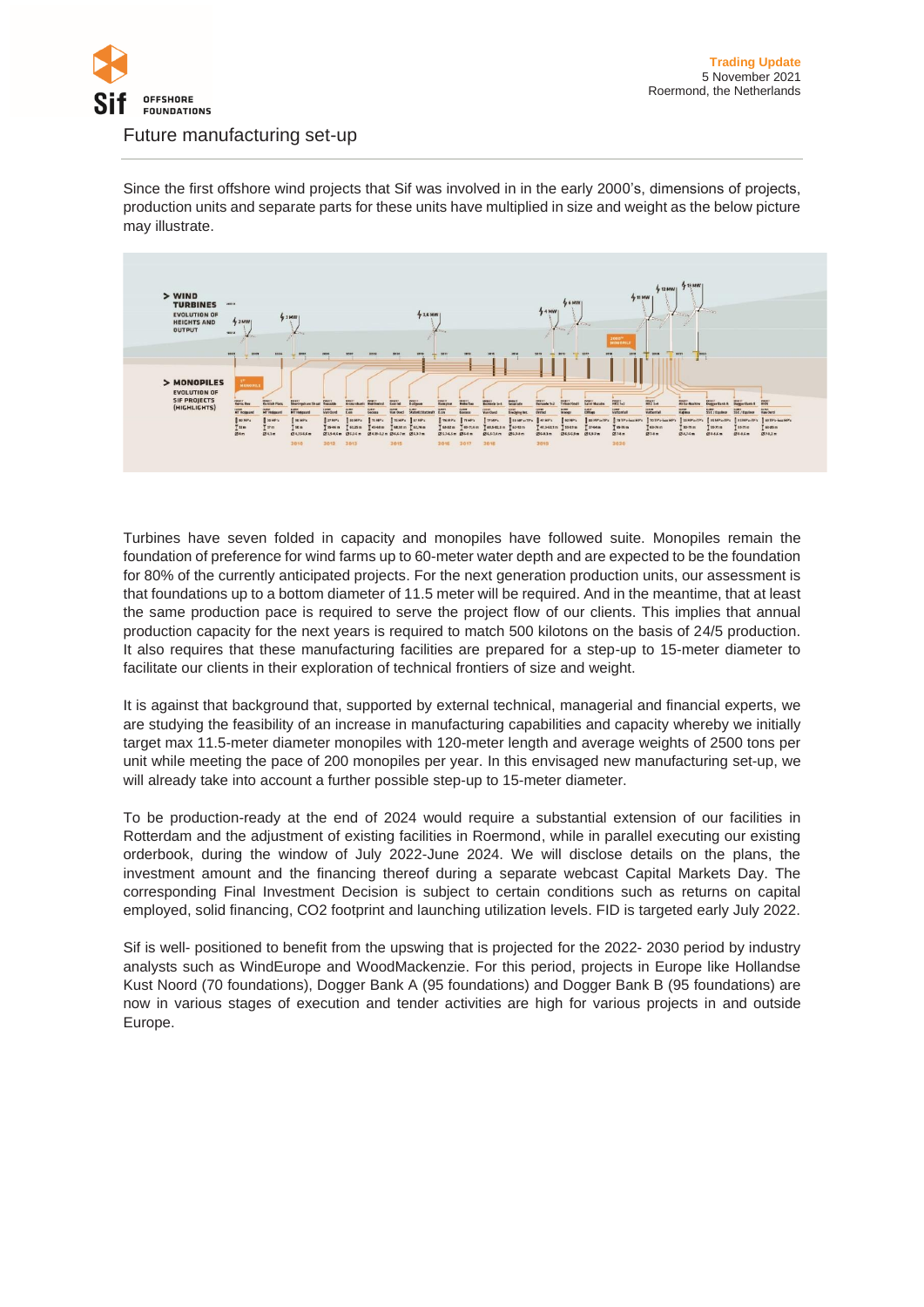

#### Future manufacturing set-up

Since the first offshore wind projects that Sif was involved in in the early 2000's, dimensions of projects, production units and separate parts for these units have multiplied in size and weight as the below picture may illustrate.



Turbines have seven folded in capacity and monopiles have followed suite. Monopiles remain the foundation of preference for wind farms up to 60-meter water depth and are expected to be the foundation for 80% of the currently anticipated projects. For the next generation production units, our assessment is that foundations up to a bottom diameter of 11.5 meter will be required. And in the meantime, that at least the same production pace is required to serve the project flow of our clients. This implies that annual production capacity for the next years is required to match 500 kilotons on the basis of 24/5 production. It also requires that these manufacturing facilities are prepared for a step-up to 15-meter diameter to facilitate our clients in their exploration of technical frontiers of size and weight.

It is against that background that, supported by external technical, managerial and financial experts, we are studying the feasibility of an increase in manufacturing capabilities and capacity whereby we initially target max 11.5-meter diameter monopiles with 120-meter length and average weights of 2500 tons per unit while meeting the pace of 200 monopiles per year. In this envisaged new manufacturing set-up, we will already take into account a further possible step-up to 15-meter diameter.

To be production-ready at the end of 2024 would require a substantial extension of our facilities in Rotterdam and the adjustment of existing facilities in Roermond, while in parallel executing our existing orderbook, during the window of July 2022-June 2024. We will disclose details on the plans, the investment amount and the financing thereof during a separate webcast Capital Markets Day. The corresponding Final Investment Decision is subject to certain conditions such as returns on capital employed, solid financing, CO2 footprint and launching utilization levels. FID is targeted early July 2022.

Sif is well- positioned to benefit from the upswing that is projected for the 2022- 2030 period by industry analysts such as WindEurope and WoodMackenzie. For this period, projects in Europe like Hollandse Kust Noord (70 foundations), Dogger Bank A (95 foundations) and Dogger Bank B (95 foundations) are now in various stages of execution and tender activities are high for various projects in and outside Europe.